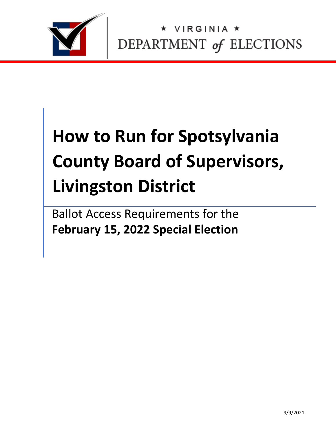

IRGINIA \* DEPARTMENT of ELECTIONS

# **How to Run for Spotsylvania County Board of Supervisors, Livingston District**

Ballot Access Requirements for the **February 15, 2022 Special Election**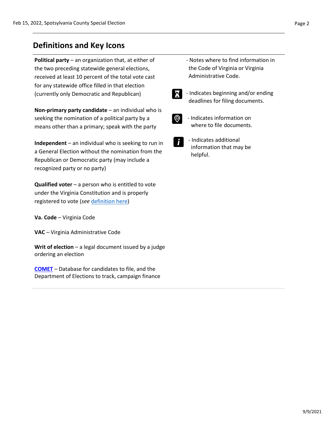## **Definitions and Key Icons**

**Political party** – an organization that, at either of the two preceding statewide general elections, received at least 10 percent of the total vote cast for any statewide office filled in that election (currently only Democratic and Republican)

**Non-primary party candidate** – an individual who is seeking the nomination of a political party by a means other than a primary; speak with the party

**Independent** – an individual who is seeking to run in a General Election without the nomination from the Republican or Democratic party (may include a recognized party or no party)

**Qualified voter** – a person who is entitled to vote under the Virginia Constitution and is properly registered to vote (*see* [definition here\)](https://law.lis.virginia.gov/vacode/title24.2/chapter1/section24.2-101/)

**Va. Code** – Virginia Code

**VAC** – Virginia Administrative Code

**Writ of election** – a legal document issued by a judge ordering an election

**[COMET](https://cf.elections.virginia.gov/Account/LogOn?ReturnUrl=%2f)** – Database for candidates to file, and the Department of Elections to track, campaign finance

- Notes where to find information in the Code of Virginia or Virginia Administrative Code.
- X

 - Indicates beginning and/or ending deadlines for filing documents.



- Indicates information on where to file documents.
- 
- Indicates additional information that may be helpful.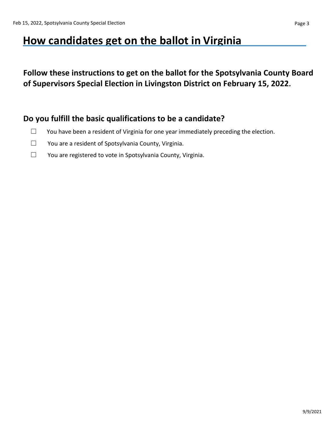# **How candidates get on the ballot in Virginia**

**Follow these instructions to get on the ballot for the Spotsylvania County Board of Supervisors Special Election in Livingston District on February 15, 2022.**

### **Do you fulfill the basic qualifications to be a candidate?**

- $\Box$  You have been a resident of Virginia for one year immediately preceding the election.
- ☐ You are a resident of Spotsylvania County, Virginia.
- ☐ You are registered to vote in Spotsylvania County, Virginia.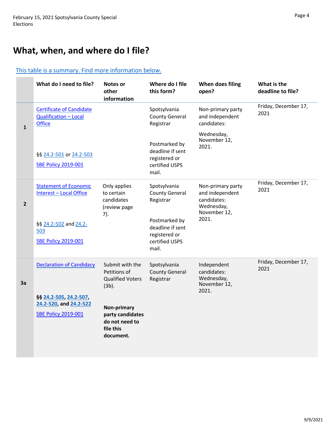# **What, when, and where do I file?**

#### [This table is a summary. Find more information below.](#page-5-0)

|                | What do I need to file?                                                                                                      | <b>Notes or</b><br>other<br>information                                                                                                                      | Where do I file<br>this form?                                                                                                       | When does filing<br>open?                                                                  | What is the<br>deadline to file? |
|----------------|------------------------------------------------------------------------------------------------------------------------------|--------------------------------------------------------------------------------------------------------------------------------------------------------------|-------------------------------------------------------------------------------------------------------------------------------------|--------------------------------------------------------------------------------------------|----------------------------------|
| $\mathbf{1}$   | <b>Certificate of Candidate</b><br><b>Qualification - Local</b><br><b>Office</b>                                             |                                                                                                                                                              | Spotsylvania<br><b>County General</b><br>Registrar                                                                                  | Non-primary party<br>and independent<br>candidates:                                        | Friday, December 17,<br>2021     |
|                | §§ 24.2-501 or 24.2-503<br><b>SBE Policy 2019-001</b>                                                                        |                                                                                                                                                              | Postmarked by<br>deadline if sent<br>registered or<br>certified USPS<br>mail.                                                       | Wednesday,<br>November 12,<br>2021.                                                        |                                  |
| $\overline{2}$ | <b>Statement of Economic</b><br><b>Interest - Local Office</b><br>§§ 24.2-502 and 24.2-<br>503<br><b>SBE Policy 2019-001</b> | Only applies<br>to certain<br>candidates<br>(review page<br>7).                                                                                              | Spotsylvania<br><b>County General</b><br>Registrar<br>Postmarked by<br>deadline if sent<br>registered or<br>certified USPS<br>mail. | Non-primary party<br>and independent<br>candidates:<br>Wednesday,<br>November 12,<br>2021. | Friday, December 17,<br>2021     |
| 3a             | <b>Declaration of Candidacy</b><br>§§ 24.2-505, 24.2-507,<br>24.2-520, and 24.2-522<br><b>SBE Policy 2019-001</b>            | Submit with the<br>Petitions of<br><b>Qualified Voters</b><br>$(3b)$ .<br><b>Non-primary</b><br>party candidates<br>do not need to<br>file this<br>document. | Spotsylvania<br><b>County General</b><br>Registrar                                                                                  | Independent<br>candidates:<br>Wednesday,<br>November 12,<br>2021.                          | Friday, December 17,<br>2021     |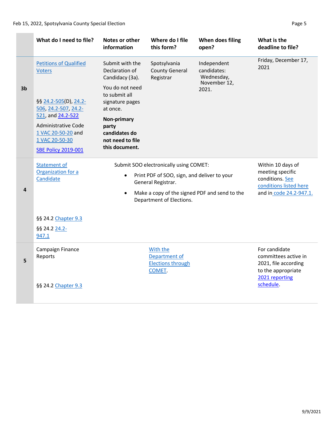#### Feb 15, 2022, Spotsylvania County Special Election **Page 1** Page 5

|                | What do I need to file?                                                                                        | Notes or other<br>information                                               | Where do I file<br>this form?                                                                                                           | When does filing<br>open?                     | What is the<br>deadline to file?                                                                              |
|----------------|----------------------------------------------------------------------------------------------------------------|-----------------------------------------------------------------------------|-----------------------------------------------------------------------------------------------------------------------------------------|-----------------------------------------------|---------------------------------------------------------------------------------------------------------------|
|                | <b>Petitions of Qualified</b><br><b>Voters</b>                                                                 | Submit with the<br>Declaration of<br>Candidacy (3a).                        | Spotsylvania<br><b>County General</b><br>Registrar                                                                                      | Independent<br>candidates:<br>Wednesday,      | Friday, December 17,<br>2021                                                                                  |
| 3 <sub>b</sub> | §§ 24.2-505(D), 24.2-<br>506, 24.2-507, 24.2-                                                                  | You do not need<br>to submit all<br>signature pages<br>at once.             |                                                                                                                                         | November 12,<br>2021.                         |                                                                                                               |
|                | 521, and 24.2-522<br>Administrative Code<br>1 VAC 20-50-20 and<br>1 VAC 20-50-30<br><b>SBE Policy 2019-001</b> | Non-primary<br>party<br>candidates do<br>not need to file<br>this document. |                                                                                                                                         |                                               |                                                                                                               |
| 4              | <b>Statement of</b><br>Organization for a<br>Candidate                                                         | $\bullet$                                                                   | Submit SOO electronically using COMET:<br>Print PDF of SOO, sign, and deliver to your<br>General Registrar.<br>Department of Elections. | Make a copy of the signed PDF and send to the | Within 10 days of<br>meeting specific<br>conditions. See<br>conditions listed here<br>and in code 24.2-947.1. |
|                | §§ 24.2 Chapter 9.3<br>§§ 24.2 24.2-<br>947.1                                                                  |                                                                             |                                                                                                                                         |                                               |                                                                                                               |
| 5              | Campaign Finance<br>Reports                                                                                    |                                                                             | With the<br>Department of<br><b>Elections through</b><br>COMET.                                                                         |                                               | For candidate<br>committees active in<br>2021, file according<br>to the appropriate                           |
|                | §§ 24.2 Chapter 9.3                                                                                            |                                                                             |                                                                                                                                         |                                               | 2021 reporting<br>schedule.                                                                                   |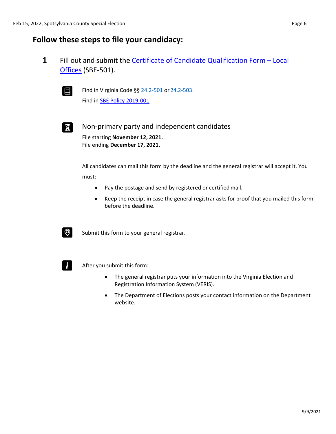## <span id="page-5-0"></span>**Follow these steps to file your candidacy:**

**1** Fill out and submit the [Certificate of Candidate](https://www.elections.virginia.gov/media/formswarehouse/campaign-finance/2018/candidates/SBE_501_4-rev7-18.pdf) Qualification Form – Loca[l](https://www.elections.virginia.gov/media/formswarehouse/campaign-finance/2018/candidates/SBE_501_4-rev7-18.pdf) [Offices](https://www.elections.virginia.gov/media/formswarehouse/campaign-finance/2018/candidates/SBE_501_4-rev7-18.pdf) (SBE-501).



**E** Find in Virginia Code §§  $24.2 - 501$  or  $24.2 - 503$ . Find in [SBE Policy 2019-001.](https://www.elections.virginia.gov/media/electionadministration/electionlaw/2019_001_SBE_policy_10_29.pdf)



Non-primary party and independent candidates File starting **November 12, 2021.** File ending **December 17, 2021.**

> All candidates can mail this form by the deadline and the general registrar will accept it. You must:

- Pay the postage and send by registered or certified mail.
- Keep the receipt in case the general registrar asks for proof that you mailed this form before the deadline.



 $\circled{Q}$  Submit this form to your general registrar.



 $\mathsf{F}$  After you submit this form:

- The general registrar puts your information into the Virginia Election and Registration Information System (VERIS).
- The Department of Elections posts your contact information on the Department website.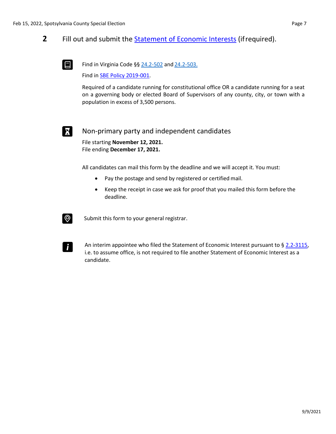#### **2** Fill out and submit the [Statement of Economic Interests](https://www.elections.virginia.gov/media/SOEI-State-and-Local-Statement-of-Economic-Interests.pdf) (ifrequired).



Find in Virginia Code §§  $24.2 - 502$  and  $24.2 - 503$ .

Find in [SBE Policy 2019-001.](https://www.elections.virginia.gov/media/electionadministration/electionlaw/2019_001_SBE_policy_10_29.pdf)

Required of a candidate running for constitutional office OR a candidate running for a seat on a governing body or elected Board of Supervisors of any county, city, or town with a population in excess of 3,500 persons.

#### Non-primary party and independent candidates

File starting **November 12, 2021.** File ending **December 17, 2021.**

All candidates can mail this form by the deadline and we will accept it. You must:

- Pay the postage and send by registered or certified mail.
- Keep the receipt in case we ask for proof that you mailed this form before the deadline.



Submit this form to your general registrar.



An interim appointee who filed the Statement of Economic Interest pursuant to [§ 2.2-3115,](https://law.lis.virginia.gov/vacode/title2.2/chapter31/section2.2-3115/) i.e. to assume office, is not required to file another Statement of Economic Interest as a candidate.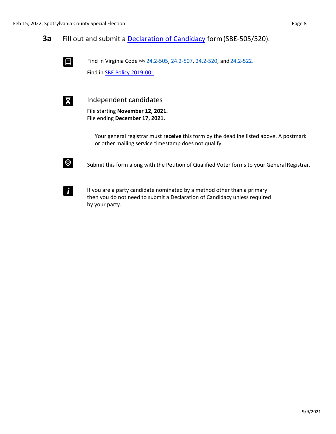**3a** Fill out and submit a **Declaration of Candidacy** form (SBE-505/520).



Find in Virginia Code §§ [24.2-505,](https://law.lis.virginia.gov/vacode/title24.2/chapter5/section24.2-505/) [24.2-507, 24.2-520,](https://law.lis.virginia.gov/vacode/title24.2/chapter5/section24.2-507/) and [24.2-522.](https://law.lis.virginia.gov/vacode/title24.2/chapter5/section24.2-522/) Find in [SBE Policy 2019-001.](https://www.elections.virginia.gov/media/electionadministration/electionlaw/2019_001_SBE_policy_10_29.pdf)



**Independent candidates** 

File starting **November 12, 2021.** File ending **December 17, 2021.**

Your general registrar must **receive** this form by the deadline listed above. A postmark or other mailing service timestamp does not qualify.



Submit this form along with the Petition of Qualified Voter forms to your General Registrar.



If you are a party candidate nominated by a method other than a primary then you do not need to submit a Declaration of Candidacy unless required by your party.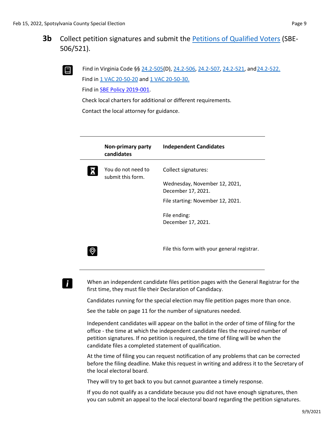

Find in Virginia Code §§ [24.2-505\(](https://law.lis.virginia.gov/vacode/title24.2/chapter5/section24.2-505/)D), [24.2-506, 24.2-507,](https://law.lis.virginia.gov/vacode/title24.2/chapter5/section24.2-506/) [24.2-521, a](https://law.lis.virginia.gov/vacode/title24.2/chapter5/section24.2-521/)nd 24.2-522. Find in [1 VAC 20-50-20](https://law.lis.virginia.gov/admincode/title1/agency20/chapter50/section20/) and [1 VAC 20-50-30.](https://law.lis.virginia.gov/admincode/title1/agency20/chapter50/section30/)

Find in [SBE Policy 2019-001.](https://www.elections.virginia.gov/media/electionadministration/electionlaw/2019_001_SBE_policy_10_29.pdf)

Check local charters for additional or different requirements.

Contact the local attorney for guidance.

| Non-primary party<br>candidates         | <b>Independent Candidates</b>                                                                                   |
|-----------------------------------------|-----------------------------------------------------------------------------------------------------------------|
| You do not need to<br>submit this form. | Collect signatures:<br>Wednesday, November 12, 2021,<br>December 17, 2021.<br>File starting: November 12, 2021. |
|                                         | File ending:<br>December 17, 2021.                                                                              |
|                                         | File this form with your general registrar.                                                                     |

# i.

When an independent candidate files petition pages with the General Registrar for the first time, they must file their Declaration of Candidacy.

Candidates running for the special election may file petition pages more than once.

See the table on page 11 for the number of signatures needed.

Independent candidates will appear on the ballot in the order of time of filing for the office - the time at which the independent candidate files the required number of petition signatures. If no petition is required, the time of filing will be when the candidate files a completed statement of qualification.

At the time of filing you can request notification of any problems that can be corrected before the filing deadline. Make this request in writing and address it to the Secretary of the local electoral board.

They will try to get back to you but cannot guarantee a timely response.

If you do not qualify as a candidate because you did not have enough signatures, then you can submit an appeal to the local electoral board regarding the petition signatures.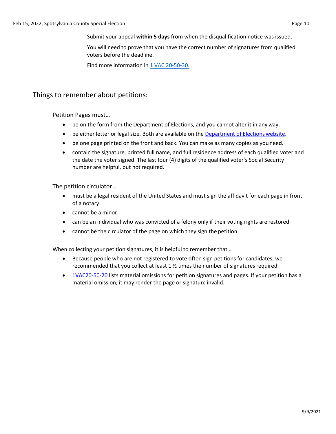Submit your appeal **within 5 days** from when the disqualification notice was issued.

You will need to prove that you have the correct number of signatures from qualified voters before the deadline.

Find more information in [1 VAC 20-50-30.](https://law.lis.virginia.gov/admincode/title1/agency20/chapter50/section30/)

#### Things to remember about petitions:

Petition Pages must…

- be on the form from the Department of Elections, and you cannot alter it in any way.
- be either letter or legal size. Both are available on the [Department of Elections](https://www.elections.virginia.gov/candidatepac-info/candidate-forms/index.html) website.
- be one page printed on the front and back. You can make as many copies as youneed.
- contain the signature, printed full name, and full residence address of each qualified voter and the date the voter signed. The last four (4) digits of the qualified voter's Social Security number are helpful, but not required.

The petition circulator…

- must be a legal resident of the United States and must sign the affidavit for each page in front of a notary.
- cannot be a minor.
- can be an individual who was convicted of a felony only if their voting rights are restored.
- cannot be the circulator of the page on which they sign the petition.

When collecting your petition signatures, it is helpful to remember that…

- Because people who are not registered to vote often sign petitions for candidates, we recommended that you collect at least  $1 \frac{1}{2}$  times the number of signatures required.
- [1VAC20-50-20](https://law.lis.virginia.gov/admincode/title1/agency20/chapter50/section20/) lists material omissions for petition signatures and pages. If your petition has a material omission, it may render the page or signature invalid.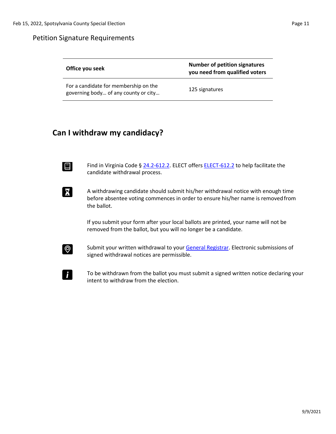#### Petition Signature Requirements

| Office you seek                                                               | <b>Number of petition signatures</b><br>you need from qualified voters |
|-------------------------------------------------------------------------------|------------------------------------------------------------------------|
| For a candidate for membership on the<br>governing body of any county or city | 125 signatures                                                         |

# **Can I withdraw my candidacy?**

Find in Virginia Code §  $24.2$ -612.2. ELECT offers **ELECT-612.2** to help facilitate the candidate withdrawal process.

A withdrawing candidate should submit his/her withdrawal notice with enough time before absentee voting commences in order to ensure his/her name is removed from the ballot.

> If you submit your form after your local ballots are printed, your name will not be removed from the ballot, but you will no longer be a candidate.



Submit your written withdrawal to your [General Registrar.](https://vote.elections.virginia.gov/VoterInformation/PublicContactLookup) Electronic submissions of signed withdrawal notices are permissible.

To be withdrawn from the ballot you must submit a signed written notice declaring your intent to withdraw from the election.